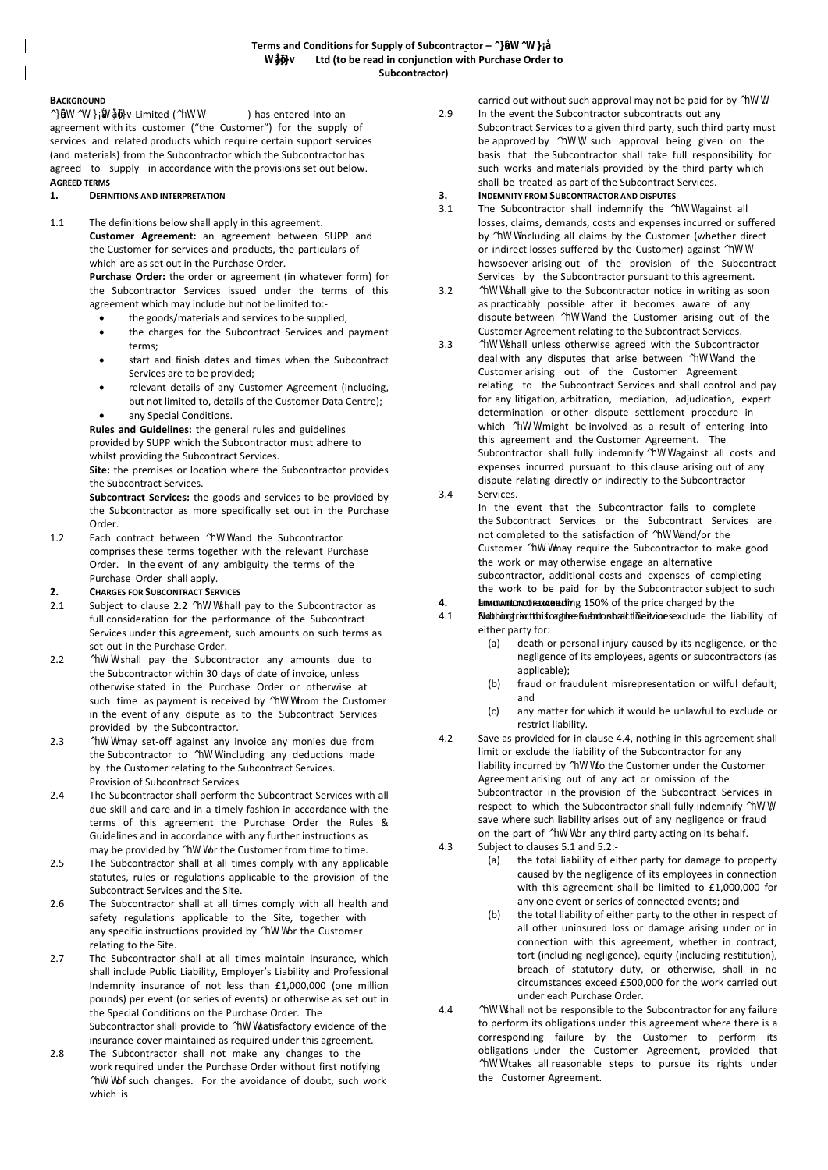# **BACKGROUND**

*§***WW@EE**Limited (^WW ) has entered into an agreement with its customer ("the Customer") for the supply of services and related products which require certain support services (and materials) from the Subcontractor which the Subcontractor has agreed to supply in accordance with the provisions set out below. **AGREED TERMS**

# **1. DEFINITIONS AND INTERPRETATION**

1.1 The definitions below shall apply in this agreement.

**Customer Agreement:** an agreement between SUPP and the Customer for services and products, the particulars of which are as set out in the Purchase Order.

**Purchase Order:** the order or agreement (in whatever form) for the Subcontractor Services issued under the terms of this agreement which may include but not be limited to:-

- the goods/materials and services to be supplied;
- the charges for the Subcontract Services and payment terms;
- start and finish dates and times when the Subcontract Services are to be provided;
- relevant details of any Customer Agreement (including, but not limited to, details of the Customer Data Centre);
- any Special Conditions.

**Rules and Guidelines:** the general rules and guidelines provided by SUPP which the Subcontractor must adhere to whilst providing the Subcontract Services.

**Site:** the premises or location where the Subcontractor provides the Subcontract Services.

**Subcontract Services:** the goods and services to be provided by the Subcontractor as more specifically set out in the Purchase Order.

1.2 Each contract between  $h$ WW and the Subcontractor comprises these terms together with the relevant Purchase Order. In the event of any ambiguity the terms of the Purchase Order shall apply.

# **2. CHARGES FOR SUBCONTRACT SERVICES**

- 2.1 Subiect to clause 2.2 AWW shall pay to the Subcontractor as full consideration for the performance of the Subcontract Services under this agreement, such amounts on such terms as set out in the Purchase Order.
- 2.2 ^hWW shall pay the Subcontractor any amounts due to the Subcontractor within 30 days of date of invoice, unless otherwise stated in the Purchase Order or otherwise at such time as payment is received by *hWW* from the Customer in the event of any dispute as to the Subcontract Services provided by the Subcontractor.
- 2.3 ^hWW may set-off against any invoice any monies due from the Subcontractor to  $\hbar$ WW including any deductions made by the Customer relating to the Subcontract Services. Provision of Subcontract Services
- 2.4 The Subcontractor shall perform the Subcontract Services with all due skill and care and in a timely fashion in accordance with the terms of this agreement the Purchase Order the Rules & Guidelines and in accordance with any further instructions as may be provided by *hWW* or the Customer from time to time.
- $2.5$ The Subcontractor shall at all times comply with any applicable statutes, rules or regulations applicable to the provision of the Subcontract Services and the Site.
- 2.6 The Subcontractor shall at all times comply with all health and safety regulations applicable to the Site, together with any specific instructions provided by AWW or the Customer relating to the Site.
- 2.7 The Subcontractor shall at all times maintain insurance, which shall include Public Liability, Employer's Liability and Professional Indemnity insurance of not less than £1,000,000 (one million pounds) per event (or series of events) or otherwise as set out in the Special Conditions on the Purchase Order. The Subcontractor shall provide to  $h$ WW satisfactory evidence of the insurance cover maintained as required under this agreement.
- 2.8 The Subcontractor shall not make any changes to the work required under the Purchase Order without first notifying ^hWWof such changes. For the avoidance of doubt, such work which is

carried out without such approval may not be paid for by AWW.

- 2.9 In the event the Subcontractor subcontracts out any Subcontract Services to a given third party, such third party must be approved by *hWW*, such approval being given on the basis that the Subcontractor shall take full responsibility for such works and materials provided by the third party which shall be treated as part of the Subcontract Services.
- **3. INDEMNITY FROM SUBCONTRACTOR AND DISPUTES**
- 3.1 The Subcontractor shall indemnify the *hWW* against all losses, claims, demands, costs and expenses incurred or suffered by *hWW* including all claims by the Customer (whether direct or indirect losses suffered by the Customer) against  $hWW$ howsoever arising out of the provision of the Subcontract Services by the Subcontractor pursuant to this agreement.
- 3.2 ^hWW shall give to the Subcontractor notice in writing as soon as practicably possible after it becomes aware of any dispute between  $\hbox{AWW}$  and the Customer arising out of the Customer Agreement relating to the Subcontract Services.
- 3.3 ^hWW shall unless otherwise agreed with the Subcontractor deal with any disputes that arise between  $hWW$  and the Customer arising out of the Customer Agreement relating to the Subcontract Services and shall control and pay for any litigation, arbitration, mediation, adjudication, expert determination or other dispute settlement procedure in which AWW might be involved as a result of entering into this agreement and the Customer Agreement. The Subcontractor shall fully indemnify  $hWW$  against all costs and expenses incurred pursuant to this clause arising out of any dispute relating directly or indirectly to the Subcontractor
- 3.4 Services.
	- In the event that the Subcontractor fails to complete the Subcontract Services or the Subcontract Services are not completed to the satisfaction of  $hWW$  and/or the Customer AWWmay require the Subcontractor to make good the work or may otherwise engage an alternative subcontractor, additional costs and expenses of completing the work to be paid for by the Subcontractor subject to such
- **4. LIMITATION OF EXAMPLE 150%** of the price charged by the 4.1 **Subcontractions in the Subset Subset Service** Services. And in this of either party for:
	- (a) death or personal injury caused by its negligence, or the negligence of its employees, agents or subcontractors (as applicable);
	- (b) fraud or fraudulent misrepresentation or wilful default; and
	- (c) any matter for which it would be unlawful to exclude or restrict liability.
- 4.2 Save as provided for in clause 4.4, nothing in this agreement shall limit or exclude the liability of the Subcontractor for any liability incurred by *NWW* to the Customer under the Customer Agreement arising out of any act or omission of the Subcontractor in the provision of the Subcontract Services in respect to which the Subcontractor shall fully indemnify  $hWW$ , save where such liability arises out of any negligence or fraud on the part of  $h$ WW or any third party acting on its behalf.
- 4.3 Subject to clauses 5.1 and 5.2:-
	- (a) the total liability of either party for damage to property caused by the negligence of its employees in connection with this agreement shall be limited to £1,000,000 for any one event or series of connected events; and
	- (b) the total liability of either party to the other in respect of all other uninsured loss or damage arising under or in connection with this agreement, whether in contract, tort (including negligence), equity (including restitution), breach of statutory duty, or otherwise, shall in no circumstances exceed £500,000 for the work carried out under each Purchase Order.
- 4.4 ^  $h$ WW shall not be responsible to the Subcontractor for any failure to perform its obligations under this agreement where there is a corresponding failure by the Customer to perform its obligations under the Customer Agreement, provided that ^hWW takes all reasonable steps to pursue its rights under the Customer Agreement.